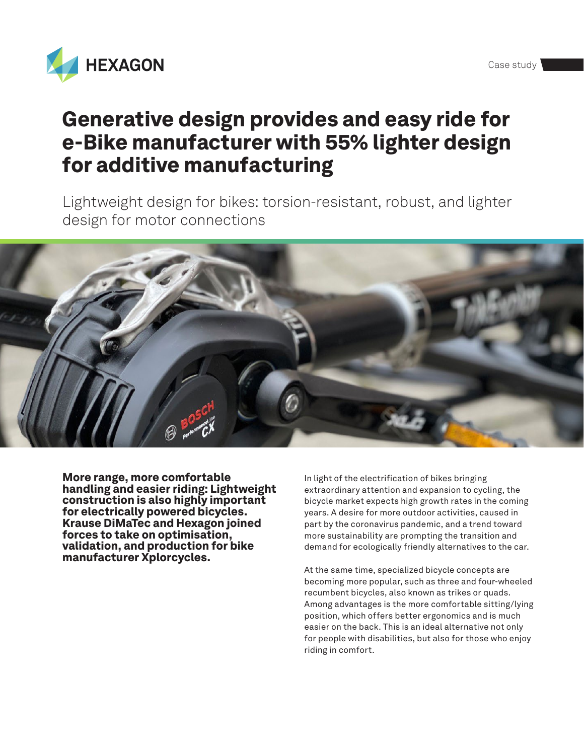

# Generative design provides and easy ride for e-Bike manufacturer with 55% lighter design for additive manufacturing

Lightweight design for bikes: torsion-resistant, robust, and lighter design for motor connections



More range, more comfortable handling and easier riding: Lightweight construction is also highly important for electrically powered bicycles. Krause DiMaTec and Hexagon joined forces to take on optimisation, validation, and production for bike manufacturer Xplorcycles.

In light of the electrification of bikes bringing extraordinary attention and expansion to cycling, the bicycle market expects high growth rates in the coming years. A desire for more outdoor activities, caused in part by the coronavirus pandemic, and a trend toward more sustainability are prompting the transition and demand for ecologically friendly alternatives to the car.

At the same time, specialized bicycle concepts are becoming more popular, such as three and four-wheeled recumbent bicycles, also known as trikes or quads. Among advantages is the more comfortable sitting/lying position, which offers better ergonomics and is much easier on the back. This is an ideal alternative not only for people with disabilities, but also for those who enjoy riding in comfort.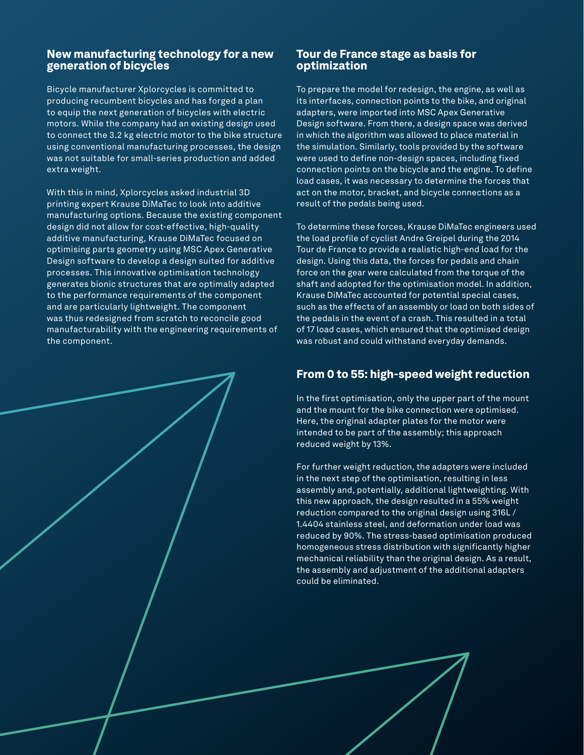### New manufacturing technology for a new generation of bicycles

Bicycle manufacturer Xplorcycles is committed to producing recumbent bicycles and has forged a plan to equip the next generation of bicycles with electric motors. While the company had an existing design used to connect the 3.2 kg electric motor to the bike structure using conventional manufacturing processes, the design was not suitable for small-series production and added extra weight.

With this in mind, Xplorcycles asked industrial 3D printing expert Krause DiMaTec to look into additive manufacturing options. Because the existing component design did not allow for cost-effective, high-quality additive manufacturing, Krause DiMaTec focused on optimising parts geometry using MSC Apex Generative Design software to develop a design suited for additive processes. This innovative optimisation technology generates bionic structures that are optimally adapted to the performance requirements of the component and are particularly lightweight. The component was thus redesigned from scratch to reconcile good manufacturability with the engineering requirements of the component.

#### Tour de France stage as basis for optimization

To prepare the model for redesign, the engine, as well as its interfaces, connection points to the bike, and original adapters, were imported into MSC Apex Generative Design software. From there, a design space was derived in which the algorithm was allowed to place material in the simulation. Similarly, tools provided by the software were used to define non-design spaces, including fixed connection points on the bicycle and the engine. To define load cases, it was necessary to determine the forces that act on the motor, bracket, and bicycle connections as a result of the pedals being used.

To determine these forces, Krause DiMaTec engineers used the load profile of cyclist Andre Greipel during the 2014 Tour de France to provide a realistic high-end load for the design. Using this data, the forces for pedals and chain force on the gear were calculated from the torque of the shaft and adopted for the optimisation model. In addition, Krause DiMaTec accounted for potential special cases, such as the effects of an assembly or load on both sides of the pedals in the event of a crash. This resulted in a total of 17 load cases, which ensured that the optimised design was robust and could withstand everyday demands.

## From 0 to 55: high-speed weight reduction

In the first optimisation, only the upper part of the mount and the mount for the bike connection were optimised. Here, the original adapter plates for the motor were intended to be part of the assembly; this approach reduced weight by 13%.

For further weight reduction, the adapters were included in the next step of the optimisation, resulting in less assembly and, potentially, additional lightweighting. With this new approach, the design resulted in a 55% weight reduction compared to the original design using 316L / 1.4404 stainless steel, and deformation under load was reduced by 90%. The stress-based optimisation produced homogeneous stress distribution with significantly higher mechanical reliability than the original design. As a result, the assembly and adjustment of the additional adapters could be eliminated.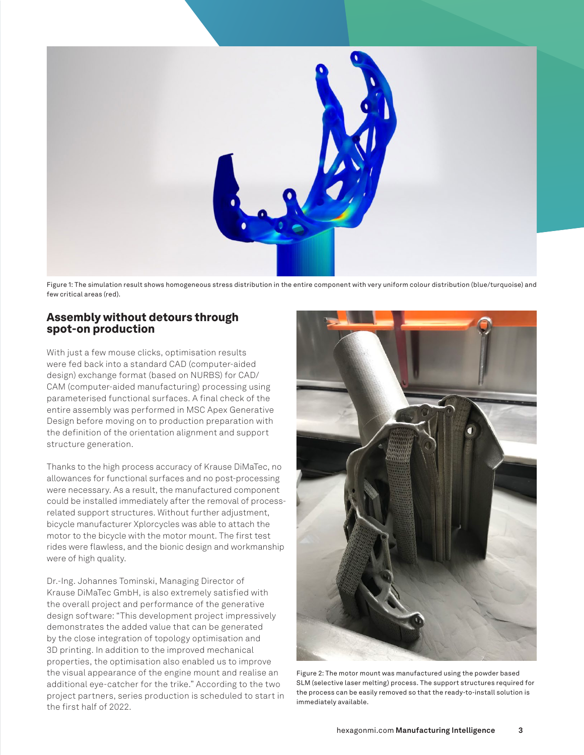

Figure 1: The simulation result shows homogeneous stress distribution in the entire component with very uniform colour distribution (blue/turquoise) and few critical areas (red).

#### Assembly without detours through spot-on production

With just a few mouse clicks, optimisation results were fed back into a standard CAD (computer-aided design) exchange format (based on NURBS) for CAD/ CAM (computer-aided manufacturing) processing using parameterised functional surfaces. A final check of the entire assembly was performed in MSC Apex Generative Design before moving on to production preparation with the definition of the orientation alignment and support structure generation.

Thanks to the high process accuracy of Krause DiMaTec, no allowances for functional surfaces and no post-processing were necessary. As a result, the manufactured component could be installed immediately after the removal of processrelated support structures. Without further adjustment, bicycle manufacturer Xplorcycles was able to attach the motor to the bicycle with the motor mount. The first test rides were flawless, and the bionic design and workmanship were of high quality.

Dr.-Ing. Johannes Tominski, Managing Director of Krause DiMaTec GmbH, is also extremely satisfied with the overall project and performance of the generative design software: "This development project impressively demonstrates the added value that can be generated by the close integration of topology optimisation and 3D printing. In addition to the improved mechanical properties, the optimisation also enabled us to improve the visual appearance of the engine mount and realise an additional eye-catcher for the trike." According to the two project partners, series production is scheduled to start in the first half of 2022.



Figure 2: The motor mount was manufactured using the powder based SLM (selective laser melting) process. The support structures required for the process can be easily removed so that the ready-to-install solution is immediately available.